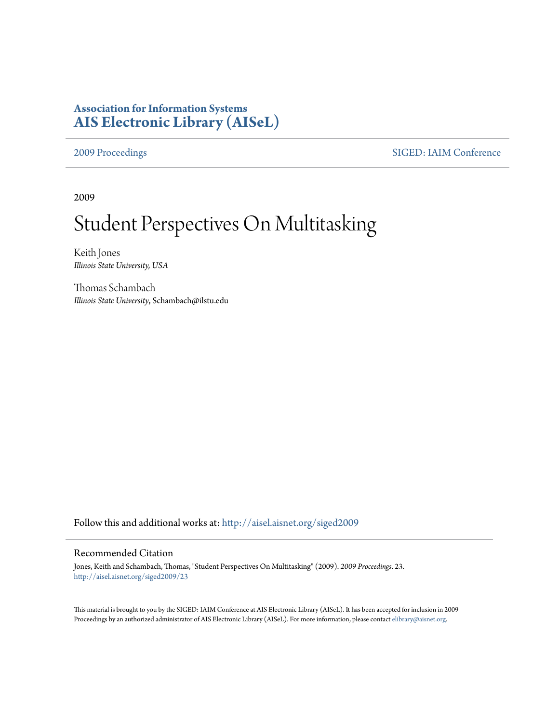## **Association for Information Systems [AIS Electronic Library \(AISeL\)](http://aisel.aisnet.org?utm_source=aisel.aisnet.org%2Fsiged2009%2F23&utm_medium=PDF&utm_campaign=PDFCoverPages)**

[2009 Proceedings](http://aisel.aisnet.org/siged2009?utm_source=aisel.aisnet.org%2Fsiged2009%2F23&utm_medium=PDF&utm_campaign=PDFCoverPages) [SIGED: IAIM Conference](http://aisel.aisnet.org/siged?utm_source=aisel.aisnet.org%2Fsiged2009%2F23&utm_medium=PDF&utm_campaign=PDFCoverPages)

2009

# Student Perspectives On Multitasking

Keith Jones *Illinois State University, USA*

Thomas Schambach *Illinois State University*, Schambach@ilstu.edu

Follow this and additional works at: [http://aisel.aisnet.org/siged2009](http://aisel.aisnet.org/siged2009?utm_source=aisel.aisnet.org%2Fsiged2009%2F23&utm_medium=PDF&utm_campaign=PDFCoverPages)

### Recommended Citation

Jones, Keith and Schambach, Thomas, "Student Perspectives On Multitasking" (2009). *2009 Proceedings*. 23. [http://aisel.aisnet.org/siged2009/23](http://aisel.aisnet.org/siged2009/23?utm_source=aisel.aisnet.org%2Fsiged2009%2F23&utm_medium=PDF&utm_campaign=PDFCoverPages)

This material is brought to you by the SIGED: IAIM Conference at AIS Electronic Library (AISeL). It has been accepted for inclusion in 2009 Proceedings by an authorized administrator of AIS Electronic Library (AISeL). For more information, please contact [elibrary@aisnet.org](mailto:elibrary@aisnet.org%3E).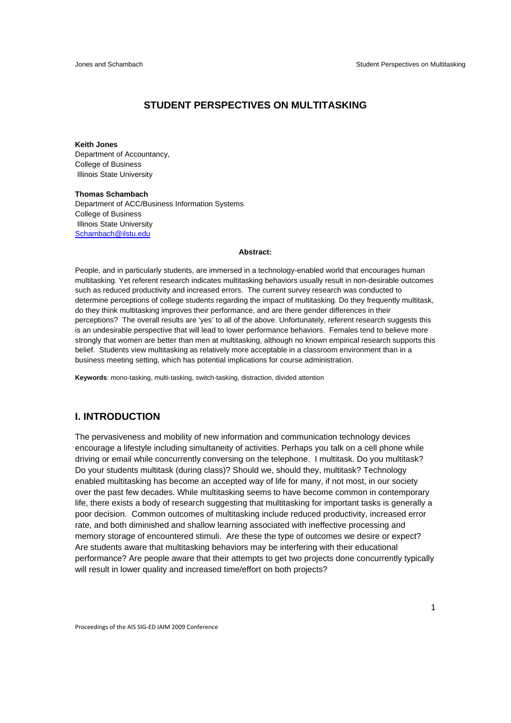### **STUDENT PERSPECTIVES ON MULTITASKING**

#### **Keith Jones**

Department of Accountancy, College of Business Illinois State University

#### **Thomas Schambach** Department of ACC/Business Information Systems College of Business Illinois State University Schambach@ilstu.edu

#### **Abstract:**

People, and in particularly students, are immersed in a technology-enabled world that encourages human multitasking. Yet referent research indicates multitasking behaviors usually result in non-desirable outcomes such as reduced productivity and increased errors. The current survey research was conducted to determine perceptions of college students regarding the impact of multitasking. Do they frequently multitask, do they think multitasking improves their performance, and are there gender differences in their perceptions? The overall results are 'yes' to all of the above. Unfortunately, referent research suggests this is an undesirable perspective that will lead to lower performance behaviors. Females tend to believe more strongly that women are better than men at multitasking, although no known empirical research supports this belief. Students view multitasking as relatively more acceptable in a classroom environment than in a business meeting setting, which has potential implications for course administration.

**Keywords**: mono-tasking, multi-tasking, switch-tasking, distraction, divided attention

#### **I. INTRODUCTION**

The pervasiveness and mobility of new information and communication technology devices encourage a lifestyle including simultaneity of activities. Perhaps you talk on a cell phone while driving or email while concurrently conversing on the telephone. I multitask. Do you multitask? Do your students multitask (during class)? Should we, should they, multitask? Technology enabled multitasking has become an accepted way of life for many, if not most, in our society over the past few decades. While multitasking seems to have become common in contemporary life, there exists a body of research suggesting that multitasking for important tasks is generally a poor decision. Common outcomes of multitasking include reduced productivity, increased error rate, and both diminished and shallow learning associated with ineffective processing and memory storage of encountered stimuli. Are these the type of outcomes we desire or expect? Are students aware that multitasking behaviors may be interfering with their educational performance? Are people aware that their attempts to get two projects done concurrently typically will result in lower quality and increased time/effort on both projects?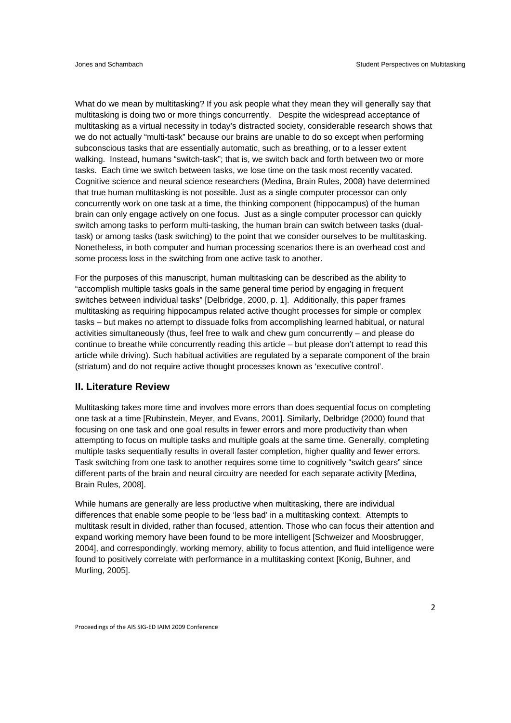What do we mean by multitasking? If you ask people what they mean they will generally say that multitasking is doing two or more things concurrently. Despite the widespread acceptance of multitasking as a virtual necessity in today's distracted society, considerable research shows that we do not actually "multi-task" because our brains are unable to do so except when performing subconscious tasks that are essentially automatic, such as breathing, or to a lesser extent walking. Instead, humans "switch-task"; that is, we switch back and forth between two or more tasks. Each time we switch between tasks, we lose time on the task most recently vacated. Cognitive science and neural science researchers (Medina, Brain Rules, 2008) have determined that true human multitasking is not possible. Just as a single computer processor can only concurrently work on one task at a time, the thinking component (hippocampus) of the human brain can only engage actively on one focus. Just as a single computer processor can quickly switch among tasks to perform multi-tasking, the human brain can switch between tasks (dualtask) or among tasks (task switching) to the point that we consider ourselves to be multitasking. Nonetheless, in both computer and human processing scenarios there is an overhead cost and some process loss in the switching from one active task to another.

For the purposes of this manuscript, human multitasking can be described as the ability to "accomplish multiple tasks goals in the same general time period by engaging in frequent switches between individual tasks" [Delbridge, 2000, p. 1]. Additionally, this paper frames multitasking as requiring hippocampus related active thought processes for simple or complex tasks – but makes no attempt to dissuade folks from accomplishing learned habitual, or natural activities simultaneously (thus, feel free to walk and chew gum concurrently – and please do continue to breathe while concurrently reading this article – but please don't attempt to read this article while driving). Such habitual activities are regulated by a separate component of the brain (striatum) and do not require active thought processes known as 'executive control'.

#### **II. Literature Review**

Multitasking takes more time and involves more errors than does sequential focus on completing one task at a time [Rubinstein, Meyer, and Evans, 2001]. Similarly, Delbridge (2000) found that focusing on one task and one goal results in fewer errors and more productivity than when attempting to focus on multiple tasks and multiple goals at the same time. Generally, completing multiple tasks sequentially results in overall faster completion, higher quality and fewer errors. Task switching from one task to another requires some time to cognitively "switch gears" since different parts of the brain and neural circuitry are needed for each separate activity [Medina, Brain Rules, 2008].

While humans are generally are less productive when multitasking, there are individual differences that enable some people to be 'less bad' in a multitasking context. Attempts to multitask result in divided, rather than focused, attention. Those who can focus their attention and expand working memory have been found to be more intelligent [Schweizer and Moosbrugger, 2004], and correspondingly, working memory, ability to focus attention, and fluid intelligence were found to positively correlate with performance in a multitasking context [Konig, Buhner, and Murling, 2005].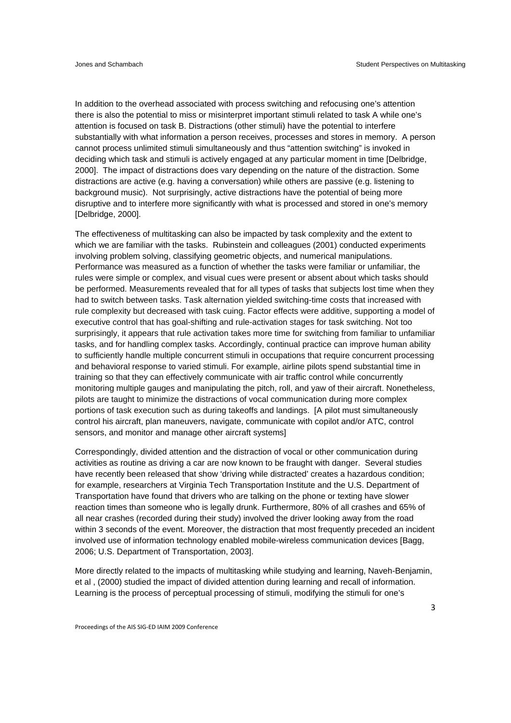In addition to the overhead associated with process switching and refocusing one's attention there is also the potential to miss or misinterpret important stimuli related to task A while one's attention is focused on task B. Distractions (other stimuli) have the potential to interfere substantially with what information a person receives, processes and stores in memory. A person cannot process unlimited stimuli simultaneously and thus "attention switching" is invoked in deciding which task and stimuli is actively engaged at any particular moment in time [Delbridge, 2000]. The impact of distractions does vary depending on the nature of the distraction. Some distractions are active (e.g. having a conversation) while others are passive (e.g. listening to background music). Not surprisingly, active distractions have the potential of being more disruptive and to interfere more significantly with what is processed and stored in one's memory [Delbridge, 2000].

The effectiveness of multitasking can also be impacted by task complexity and the extent to which we are familiar with the tasks. Rubinstein and colleagues (2001) conducted experiments involving problem solving, classifying geometric objects, and numerical manipulations. Performance was measured as a function of whether the tasks were familiar or unfamiliar, the rules were simple or complex, and visual cues were present or absent about which tasks should be performed. Measurements revealed that for all types of tasks that subjects lost time when they had to switch between tasks. Task alternation yielded switching-time costs that increased with rule complexity but decreased with task cuing. Factor effects were additive, supporting a model of executive control that has goal-shifting and rule-activation stages for task switching. Not too surprisingly, it appears that rule activation takes more time for switching from familiar to unfamiliar tasks, and for handling complex tasks. Accordingly, continual practice can improve human ability to sufficiently handle multiple concurrent stimuli in occupations that require concurrent processing and behavioral response to varied stimuli. For example, airline pilots spend substantial time in training so that they can effectively communicate with air traffic control while concurrently monitoring multiple gauges and manipulating the pitch, roll, and yaw of their aircraft. Nonetheless, pilots are taught to minimize the distractions of vocal communication during more complex portions of task execution such as during takeoffs and landings. [A pilot must simultaneously control his aircraft, plan maneuvers, navigate, communicate with copilot and/or ATC, control sensors, and monitor and manage other aircraft systems]

Correspondingly, divided attention and the distraction of vocal or other communication during activities as routine as driving a car are now known to be fraught with danger. Several studies have recently been released that show 'driving while distracted' creates a hazardous condition; for example, researchers at Virginia Tech Transportation Institute and the U.S. Department of Transportation have found that drivers who are talking on the phone or texting have slower reaction times than someone who is legally drunk. Furthermore, 80% of all crashes and 65% of all near crashes (recorded during their study) involved the driver looking away from the road within 3 seconds of the event. Moreover, the distraction that most frequently preceded an incident involved use of information technology enabled mobile-wireless communication devices [Bagg, 2006; U.S. Department of Transportation, 2003].

More directly related to the impacts of multitasking while studying and learning, Naveh-Benjamin, et al , (2000) studied the impact of divided attention during learning and recall of information. Learning is the process of perceptual processing of stimuli, modifying the stimuli for one's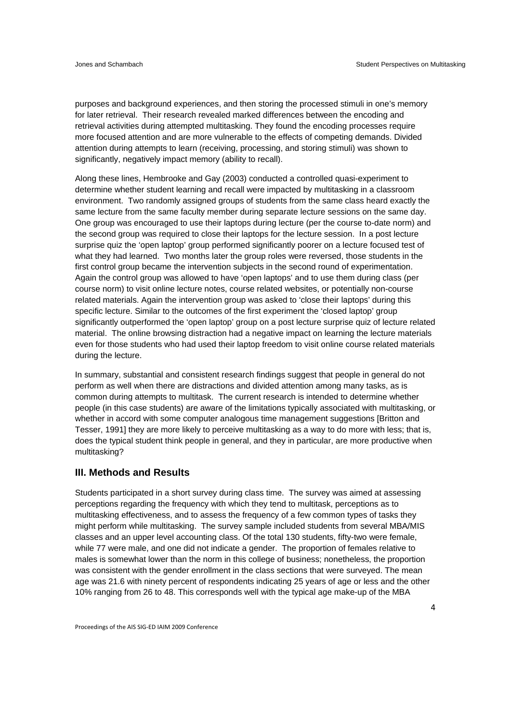purposes and background experiences, and then storing the processed stimuli in one's memory for later retrieval. Their research revealed marked differences between the encoding and retrieval activities during attempted multitasking. They found the encoding processes require more focused attention and are more vulnerable to the effects of competing demands. Divided attention during attempts to learn (receiving, processing, and storing stimuli) was shown to significantly, negatively impact memory (ability to recall).

Along these lines, Hembrooke and Gay (2003) conducted a controlled quasi-experiment to determine whether student learning and recall were impacted by multitasking in a classroom environment. Two randomly assigned groups of students from the same class heard exactly the same lecture from the same faculty member during separate lecture sessions on the same day. One group was encouraged to use their laptops during lecture (per the course to-date norm) and the second group was required to close their laptops for the lecture session. In a post lecture surprise quiz the 'open laptop' group performed significantly poorer on a lecture focused test of what they had learned. Two months later the group roles were reversed, those students in the first control group became the intervention subjects in the second round of experimentation. Again the control group was allowed to have 'open laptops' and to use them during class (per course norm) to visit online lecture notes, course related websites, or potentially non-course related materials. Again the intervention group was asked to 'close their laptops' during this specific lecture. Similar to the outcomes of the first experiment the 'closed laptop' group significantly outperformed the 'open laptop' group on a post lecture surprise quiz of lecture related material. The online browsing distraction had a negative impact on learning the lecture materials even for those students who had used their laptop freedom to visit online course related materials during the lecture.

In summary, substantial and consistent research findings suggest that people in general do not perform as well when there are distractions and divided attention among many tasks, as is common during attempts to multitask. The current research is intended to determine whether people (in this case students) are aware of the limitations typically associated with multitasking, or whether in accord with some computer analogous time management suggestions [Britton and Tesser, 1991] they are more likely to perceive multitasking as a way to do more with less; that is, does the typical student think people in general, and they in particular, are more productive when multitasking?

#### **III. Methods and Results**

Students participated in a short survey during class time. The survey was aimed at assessing perceptions regarding the frequency with which they tend to multitask, perceptions as to multitasking effectiveness, and to assess the frequency of a few common types of tasks they might perform while multitasking. The survey sample included students from several MBA/MIS classes and an upper level accounting class. Of the total 130 students, fifty-two were female, while 77 were male, and one did not indicate a gender. The proportion of females relative to males is somewhat lower than the norm in this college of business; nonetheless, the proportion was consistent with the gender enrollment in the class sections that were surveyed. The mean age was 21.6 with ninety percent of respondents indicating 25 years of age or less and the other 10% ranging from 26 to 48. This corresponds well with the typical age make-up of the MBA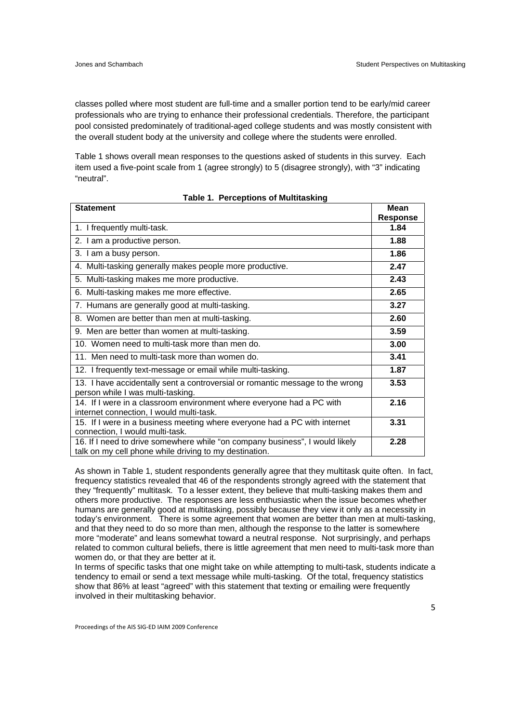classes polled where most student are full-time and a smaller portion tend to be early/mid career professionals who are trying to enhance their professional credentials. Therefore, the participant pool consisted predominately of traditional-aged college students and was mostly consistent with the overall student body at the university and college where the students were enrolled.

Table 1 shows overall mean responses to the questions asked of students in this survey. Each item used a five-point scale from 1 (agree strongly) to 5 (disagree strongly), with "3" indicating "neutral".

| <b>Statement</b>                                                                                                                       | <b>Mean</b>     |
|----------------------------------------------------------------------------------------------------------------------------------------|-----------------|
|                                                                                                                                        | <b>Response</b> |
| 1. I frequently multi-task.                                                                                                            | 1.84            |
| 2. I am a productive person.                                                                                                           | 1.88            |
| 3. I am a busy person.                                                                                                                 | 1.86            |
| 4. Multi-tasking generally makes people more productive.                                                                               | 2.47            |
| 5. Multi-tasking makes me more productive.                                                                                             | 2.43            |
| 6. Multi-tasking makes me more effective.                                                                                              | 2.65            |
| 7. Humans are generally good at multi-tasking.                                                                                         | 3.27            |
| 8. Women are better than men at multi-tasking.                                                                                         | 2.60            |
| 9. Men are better than women at multi-tasking.                                                                                         | 3.59            |
| 10. Women need to multi-task more than men do.                                                                                         | 3.00            |
| 11. Men need to multi-task more than women do.                                                                                         | 3.41            |
| 12. I frequently text-message or email while multi-tasking.                                                                            | 1.87            |
| 13. I have accidentally sent a controversial or romantic message to the wrong<br>person while I was multi-tasking.                     | 3.53            |
| 14. If I were in a classroom environment where everyone had a PC with<br>internet connection, I would multi-task.                      | 2.16            |
| 15. If I were in a business meeting where everyone had a PC with internet<br>connection, I would multi-task.                           | 3.31            |
| 16. If I need to drive somewhere while "on company business", I would likely<br>talk on my cell phone while driving to my destination. | 2.28            |

|  |  | Table 1. Perceptions of Multitasking |
|--|--|--------------------------------------|
|--|--|--------------------------------------|

As shown in Table 1, student respondents generally agree that they multitask quite often. In fact, frequency statistics revealed that 46 of the respondents strongly agreed with the statement that they "frequently" multitask. To a lesser extent, they believe that multi-tasking makes them and others more productive. The responses are less enthusiastic when the issue becomes whether humans are generally good at multitasking, possibly because they view it only as a necessity in today's environment. There is some agreement that women are better than men at multi-tasking, and that they need to do so more than men, although the response to the latter is somewhere more "moderate" and leans somewhat toward a neutral response. Not surprisingly, and perhaps related to common cultural beliefs, there is little agreement that men need to multi-task more than women do, or that they are better at it.

In terms of specific tasks that one might take on while attempting to multi-task, students indicate a tendency to email or send a text message while multi-tasking. Of the total, frequency statistics show that 86% at least "agreed" with this statement that texting or emailing were frequently involved in their multitasking behavior.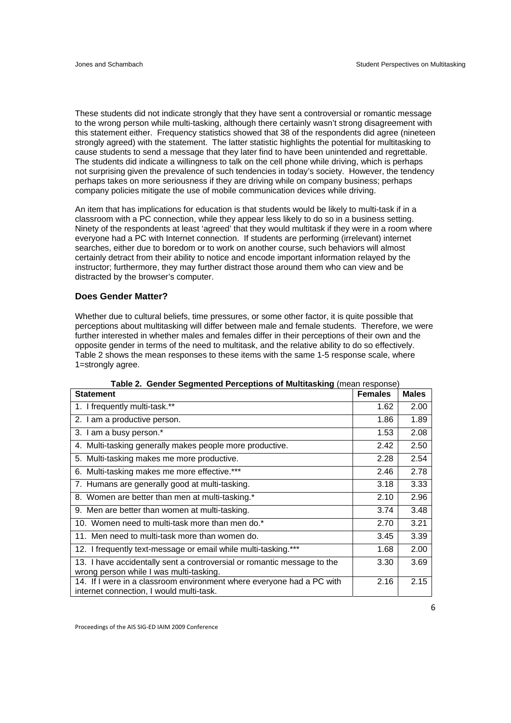These students did not indicate strongly that they have sent a controversial or romantic message to the wrong person while multi-tasking, although there certainly wasn't strong disagreement with this statement either. Frequency statistics showed that 38 of the respondents did agree (nineteen strongly agreed) with the statement. The latter statistic highlights the potential for multitasking to cause students to send a message that they later find to have been unintended and regrettable. The students did indicate a willingness to talk on the cell phone while driving, which is perhaps not surprising given the prevalence of such tendencies in today's society. However, the tendency perhaps takes on more seriousness if they are driving while on company business; perhaps company policies mitigate the use of mobile communication devices while driving.

An item that has implications for education is that students would be likely to multi-task if in a classroom with a PC connection, while they appear less likely to do so in a business setting. Ninety of the respondents at least 'agreed' that they would multitask if they were in a room where everyone had a PC with Internet connection. If students are performing (irrelevant) internet searches, either due to boredom or to work on another course, such behaviors will almost certainly detract from their ability to notice and encode important information relayed by the instructor; furthermore, they may further distract those around them who can view and be distracted by the browser's computer.

#### **Does Gender Matter?**

Whether due to cultural beliefs, time pressures, or some other factor, it is quite possible that perceptions about multitasking will differ between male and female students. Therefore, we were further interested in whether males and females differ in their perceptions of their own and the opposite gender in terms of the need to multitask, and the relative ability to do so effectively. Table 2 shows the mean responses to these items with the same 1-5 response scale, where 1=strongly agree.

| <u>rabic z. Genuer oegnienieu i erceptions or multitasking (mean response)</u><br><b>Statement</b>                 | <b>Females</b> | <b>Males</b> |
|--------------------------------------------------------------------------------------------------------------------|----------------|--------------|
| 1. I frequently multi-task.**                                                                                      | 1.62           | 2.00         |
| 2. I am a productive person.                                                                                       | 1.86           | 1.89         |
| 3. I am a busy person.*                                                                                            | 1.53           | 2.08         |
| 4. Multi-tasking generally makes people more productive.                                                           | 2.42           | 2.50         |
| 5. Multi-tasking makes me more productive.                                                                         | 2.28           | 2.54         |
| 6. Multi-tasking makes me more effective.***                                                                       | 2.46           | 2.78         |
| 7. Humans are generally good at multi-tasking.                                                                     | 3.18           | 3.33         |
| 8. Women are better than men at multi-tasking.*                                                                    | 2.10           | 2.96         |
| 9. Men are better than women at multi-tasking.                                                                     | 3.74           | 3.48         |
| 10. Women need to multi-task more than men do.*                                                                    | 2.70           | 3.21         |
| 11. Men need to multi-task more than women do.                                                                     | 3.45           | 3.39         |
| 12. I frequently text-message or email while multi-tasking.***                                                     | 1.68           | 2.00         |
| 13. I have accidentally sent a controversial or romantic message to the<br>wrong person while I was multi-tasking. | 3.30           | 3.69         |
| 14. If I were in a classroom environment where everyone had a PC with<br>internet connection, I would multi-task.  | 2.16           | 2.15         |

**Table 2. Gender Segmented Perceptions of Multitasking** (mean response)

Proceedings of the AIS SIG‐ED IAIM 2009 Conference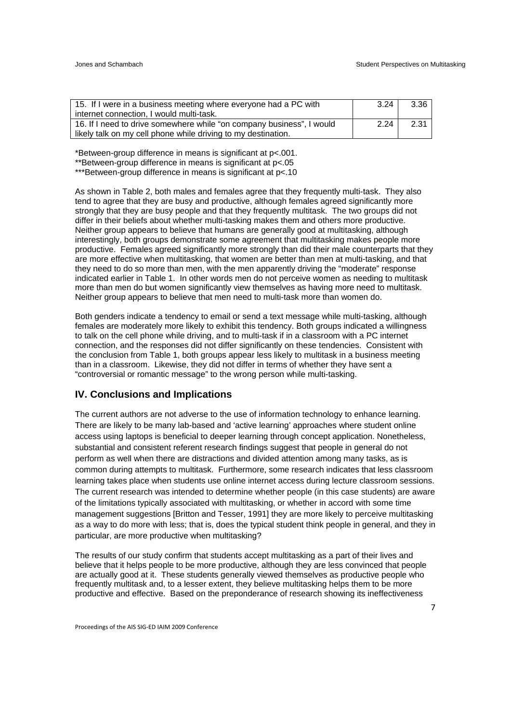| 15. If I were in a business meeting where everyone had a PC with      | 3.24 | 3.36 |
|-----------------------------------------------------------------------|------|------|
| internet connection, I would multi-task.                              |      |      |
| 16. If I need to drive somewhere while "on company business", I would | 2.24 | 2.31 |
| likely talk on my cell phone while driving to my destination.         |      |      |

\*Between-group difference in means is significant at p<.001.

\*\*Between-group difference in means is significant at p<.05

\*\*\*Between-group difference in means is significant at p<.10

As shown in Table 2, both males and females agree that they frequently multi-task. They also tend to agree that they are busy and productive, although females agreed significantly more strongly that they are busy people and that they frequently multitask. The two groups did not differ in their beliefs about whether multi-tasking makes them and others more productive. Neither group appears to believe that humans are generally good at multitasking, although interestingly, both groups demonstrate some agreement that multitasking makes people more productive. Females agreed significantly more strongly than did their male counterparts that they are more effective when multitasking, that women are better than men at multi-tasking, and that they need to do so more than men, with the men apparently driving the "moderate" response indicated earlier in Table 1. In other words men do not perceive women as needing to multitask more than men do but women significantly view themselves as having more need to multitask. Neither group appears to believe that men need to multi-task more than women do.

Both genders indicate a tendency to email or send a text message while multi-tasking, although females are moderately more likely to exhibit this tendency. Both groups indicated a willingness to talk on the cell phone while driving, and to multi-task if in a classroom with a PC internet connection, and the responses did not differ significantly on these tendencies. Consistent with the conclusion from Table 1, both groups appear less likely to multitask in a business meeting than in a classroom. Likewise, they did not differ in terms of whether they have sent a "controversial or romantic message" to the wrong person while multi-tasking.

#### **IV. Conclusions and Implications**

The current authors are not adverse to the use of information technology to enhance learning. There are likely to be many lab-based and 'active learning' approaches where student online access using laptops is beneficial to deeper learning through concept application. Nonetheless, substantial and consistent referent research findings suggest that people in general do not perform as well when there are distractions and divided attention among many tasks, as is common during attempts to multitask. Furthermore, some research indicates that less classroom learning takes place when students use online internet access during lecture classroom sessions. The current research was intended to determine whether people (in this case students) are aware of the limitations typically associated with multitasking, or whether in accord with some time management suggestions [Britton and Tesser, 1991] they are more likely to perceive multitasking as a way to do more with less; that is, does the typical student think people in general, and they in particular, are more productive when multitasking?

The results of our study confirm that students accept multitasking as a part of their lives and believe that it helps people to be more productive, although they are less convinced that people are actually good at it. These students generally viewed themselves as productive people who frequently multitask and, to a lesser extent, they believe multitasking helps them to be more productive and effective. Based on the preponderance of research showing its ineffectiveness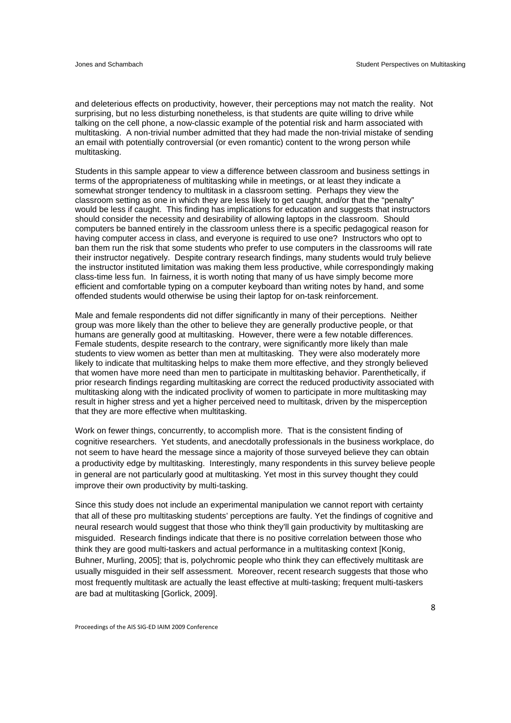and deleterious effects on productivity, however, their perceptions may not match the reality. Not surprising, but no less disturbing nonetheless, is that students are quite willing to drive while talking on the cell phone, a now-classic example of the potential risk and harm associated with multitasking. A non-trivial number admitted that they had made the non-trivial mistake of sending an email with potentially controversial (or even romantic) content to the wrong person while multitasking.

Students in this sample appear to view a difference between classroom and business settings in terms of the appropriateness of multitasking while in meetings, or at least they indicate a somewhat stronger tendency to multitask in a classroom setting. Perhaps they view the classroom setting as one in which they are less likely to get caught, and/or that the "penalty" would be less if caught. This finding has implications for education and suggests that instructors should consider the necessity and desirability of allowing laptops in the classroom. Should computers be banned entirely in the classroom unless there is a specific pedagogical reason for having computer access in class, and everyone is required to use one? Instructors who opt to ban them run the risk that some students who prefer to use computers in the classrooms will rate their instructor negatively. Despite contrary research findings, many students would truly believe the instructor instituted limitation was making them less productive, while correspondingly making class-time less fun. In fairness, it is worth noting that many of us have simply become more efficient and comfortable typing on a computer keyboard than writing notes by hand, and some offended students would otherwise be using their laptop for on-task reinforcement.

Male and female respondents did not differ significantly in many of their perceptions. Neither group was more likely than the other to believe they are generally productive people, or that humans are generally good at multitasking. However, there were a few notable differences. Female students, despite research to the contrary, were significantly more likely than male students to view women as better than men at multitasking. They were also moderately more likely to indicate that multitasking helps to make them more effective, and they strongly believed that women have more need than men to participate in multitasking behavior. Parenthetically, if prior research findings regarding multitasking are correct the reduced productivity associated with multitasking along with the indicated proclivity of women to participate in more multitasking may result in higher stress and yet a higher perceived need to multitask, driven by the misperception that they are more effective when multitasking.

Work on fewer things, concurrently, to accomplish more. That is the consistent finding of cognitive researchers. Yet students, and anecdotally professionals in the business workplace, do not seem to have heard the message since a majority of those surveyed believe they can obtain a productivity edge by multitasking. Interestingly, many respondents in this survey believe people in general are not particularly good at multitasking. Yet most in this survey thought they could improve their own productivity by multi-tasking.

Since this study does not include an experimental manipulation we cannot report with certainty that all of these pro multitasking students' perceptions are faulty. Yet the findings of cognitive and neural research would suggest that those who think they'll gain productivity by multitasking are misguided. Research findings indicate that there is no positive correlation between those who think they are good multi-taskers and actual performance in a multitasking context [Konig, Buhner, Murling, 2005]; that is, polychromic people who think they can effectively multitask are usually misguided in their self assessment. Moreover, recent research suggests that those who most frequently multitask are actually the least effective at multi-tasking; frequent multi-taskers are bad at multitasking [Gorlick, 2009].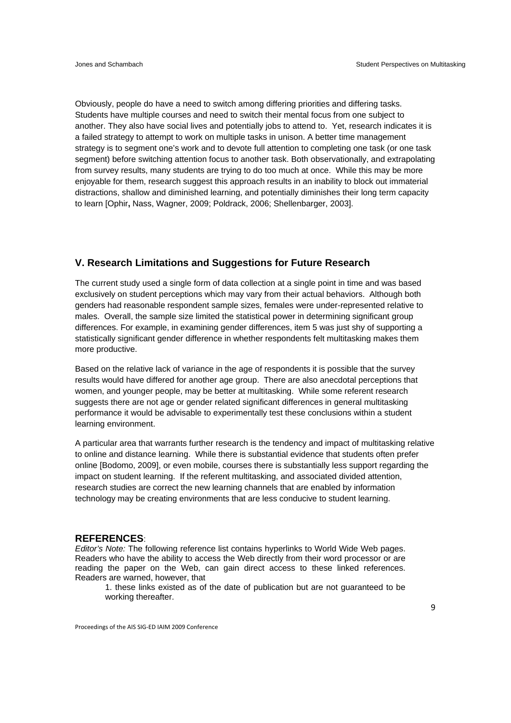Obviously, people do have a need to switch among differing priorities and differing tasks. Students have multiple courses and need to switch their mental focus from one subject to another. They also have social lives and potentially jobs to attend to. Yet, research indicates it is a failed strategy to attempt to work on multiple tasks in unison. A better time management strategy is to segment one's work and to devote full attention to completing one task (or one task segment) before switching attention focus to another task. Both observationally, and extrapolating from survey results, many students are trying to do too much at once. While this may be more enjoyable for them, research suggest this approach results in an inability to block out immaterial distractions, shallow and diminished learning, and potentially diminishes their long term capacity to learn [Ophir**,** Nass, Wagner, 2009; Poldrack, 2006; Shellenbarger, 2003].

#### **V. Research Limitations and Suggestions for Future Research**

The current study used a single form of data collection at a single point in time and was based exclusively on student perceptions which may vary from their actual behaviors. Although both genders had reasonable respondent sample sizes, females were under-represented relative to males. Overall, the sample size limited the statistical power in determining significant group differences. For example, in examining gender differences, item 5 was just shy of supporting a statistically significant gender difference in whether respondents felt multitasking makes them more productive.

Based on the relative lack of variance in the age of respondents it is possible that the survey results would have differed for another age group. There are also anecdotal perceptions that women, and younger people, may be better at multitasking. While some referent research suggests there are not age or gender related significant differences in general multitasking performance it would be advisable to experimentally test these conclusions within a student learning environment.

A particular area that warrants further research is the tendency and impact of multitasking relative to online and distance learning. While there is substantial evidence that students often prefer online [Bodomo, 2009], or even mobile, courses there is substantially less support regarding the impact on student learning. If the referent multitasking, and associated divided attention, research studies are correct the new learning channels that are enabled by information technology may be creating environments that are less conducive to student learning.

#### **REFERENCES**:

*Editor's Note:* The following reference list contains hyperlinks to World Wide Web pages. Readers who have the ability to access the Web directly from their word processor or are reading the paper on the Web, can gain direct access to these linked references. Readers are warned, however, that

1. these links existed as of the date of publication but are not guaranteed to be working thereafter.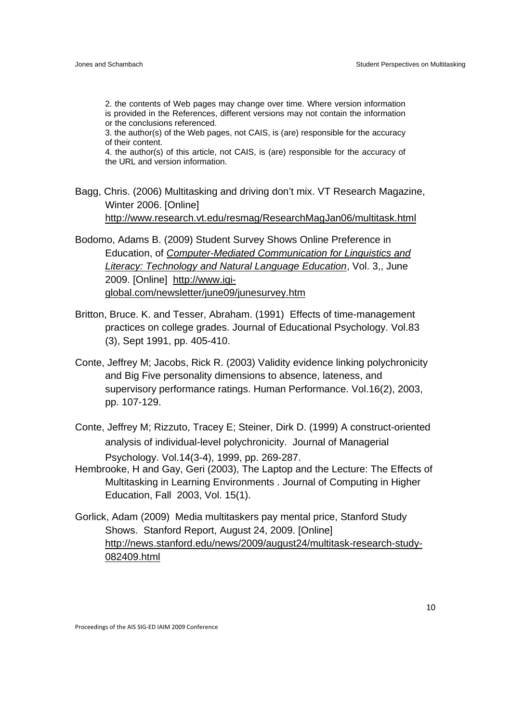2. the contents of Web pages may change over time. Where version information is provided in the References, different versions may not contain the information or the conclusions referenced.

3. the author(s) of the Web pages, not CAIS, is (are) responsible for the accuracy of their content.

4. the author(s) of this article, not CAIS, is (are) responsible for the accuracy of the URL and version information.

Bagg, Chris. (2006) Multitasking and driving don't mix. VT Research Magazine, Winter 2006. [Online] http://www.research.vt.edu/resmag/ResearchMagJan06/multitask.html

Bodomo, Adams B. (2009) Student Survey Shows Online Preference in Education, of *Computer-Mediated Communication for Linguistics and Literacy: Technology and Natural Language Education*, Vol. 3,, June 2009. [Online] http://www.igiglobal.com/newsletter/june09/junesurvey.htm

- Britton, Bruce. K. and Tesser, Abraham. (1991) Effects of time-management practices on college grades. Journal of Educational Psychology. Vol.83 (3), Sept 1991, pp. 405-410.
- Conte, Jeffrey M; Jacobs, Rick R. (2003) Validity evidence linking polychronicity and Big Five personality dimensions to absence, lateness, and supervisory performance ratings. Human Performance. Vol.16(2), 2003, pp. 107-129.
- Conte, Jeffrey M; Rizzuto, Tracey E; Steiner, Dirk D. (1999) A construct-oriented analysis of individual-level polychronicity. Journal of Managerial Psychology. Vol.14(3-4), 1999, pp. 269-287.
- Hembrooke, H and Gay, Geri (2003), The Laptop and the Lecture: The Effects of Multitasking in Learning Environments . Journal of Computing in Higher Education, Fall 2003, Vol. 15(1).
- Gorlick, Adam (2009) Media multitaskers pay mental price, Stanford Study Shows. Stanford Report, August 24, 2009. [Online] http://news.stanford.edu/news/2009/august24/multitask-research-study-082409.html